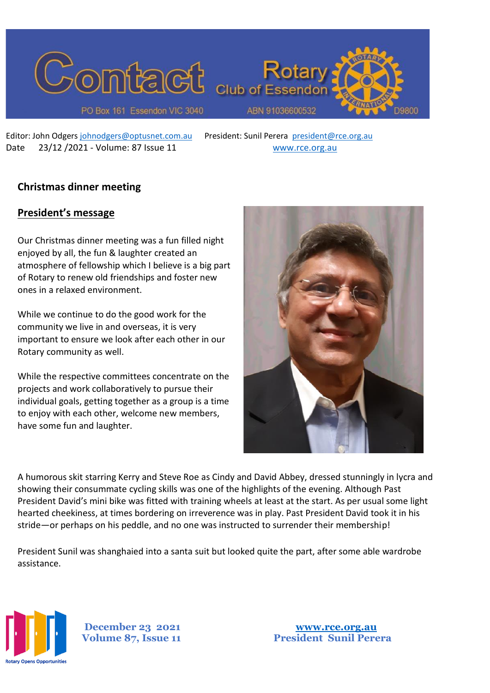

Editor: John Odgers [johnodgers@optusnet.com.au](mailto:johnodgers@optusnet.com.au) President: Sunil Perera [president@rce.org.au](mailto:president@rce.org.au) Date 23/12 /2021 - Volume: 87 Issue 11 [www.rce.org.au](http://www.rce.org.au/)

# **Christmas dinner meeting**

## **President's message**

Our Christmas dinner meeting was a fun filled night enjoyed by all, the fun & laughter created an atmosphere of fellowship which I believe is a big part of Rotary to renew old friendships and foster new ones in a relaxed environment.

While we continue to do the good work for the community we live in and overseas, it is very important to ensure we look after each other in our Rotary community as well.

While the respective committees concentrate on the projects and work collaboratively to pursue their individual goals, getting together as a group is a time to enjoy with each other, welcome new members, have some fun and laughter.



A humorous skit starring Kerry and Steve Roe as Cindy and David Abbey, dressed stunningly in lycra and showing their consummate cycling skills was one of the highlights of the evening. Although Past President David's mini bike was fitted with training wheels at least at the start. As per usual some light hearted cheekiness, at times bordering on irreverence was in play. Past President David took it in his stride—or perhaps on his peddle, and no one was instructed to surrender their membership!

President Sunil was shanghaied into a santa suit but looked quite the part, after some able wardrobe assistance.



**December 23 2021 [www.rce.org.au](http://www.rce.org.au/)**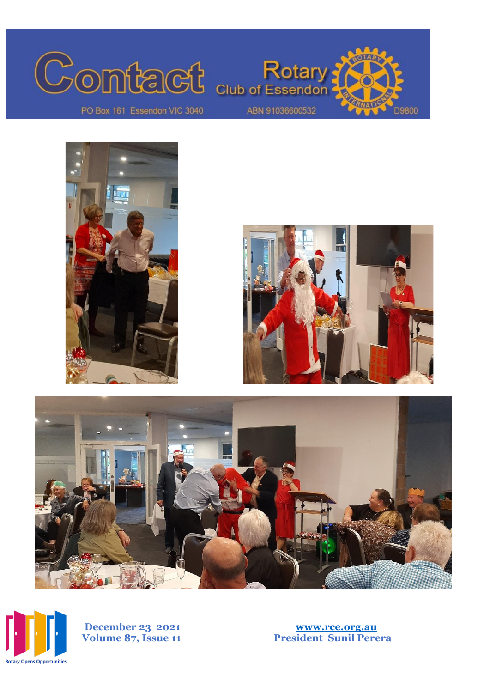









**December 23 2021 [www.rce.org.au](http://www.rce.org.au/) Volume 87, Issue 1**

**1 President Sunil Perera**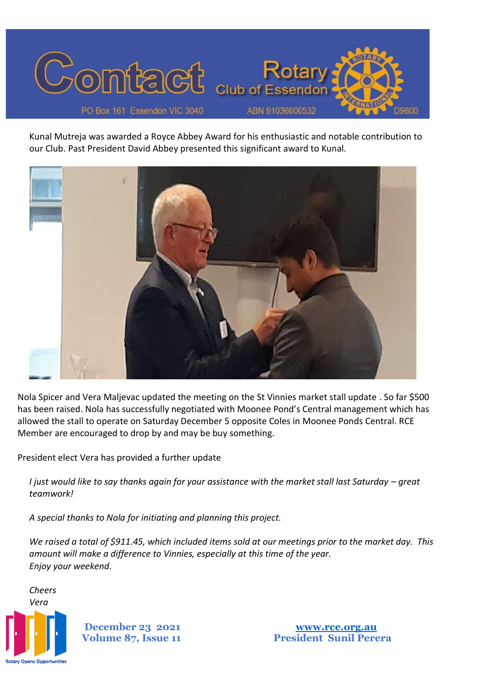

Kunal Mutreja was awarded a Royce Abbey Award for his enthusiastic and notable contribution to our Club. Past President David Abbey presented this significant award to Kunal.



Nola Spicer and Vera Maljevac updated the meeting on the St Vinnies market stall update . So far \$500 has been raised. Nola has successfully negotiated with Moonee Pond's Central management which has allowed the stall to operate on Saturday December 5 opposite Coles in Moonee Ponds Central. RCE Member are encouraged to drop by and may be buy something.

President elect Vera has provided a further update

*I* just would like to say thanks again for your assistance with the market stall last Saturday – great *teamwork!*

*A special thanks to Nola for initiating and planning this project.*

*We raised a total of \$911.45, which included items sold at our meetings prior to the market day. This amount will make a difference to Vinnies, especially at this time of the year. Enjoy your weekend.*



**December 23 2021 [www.rce.org.au](http://www.rce.org.au/)**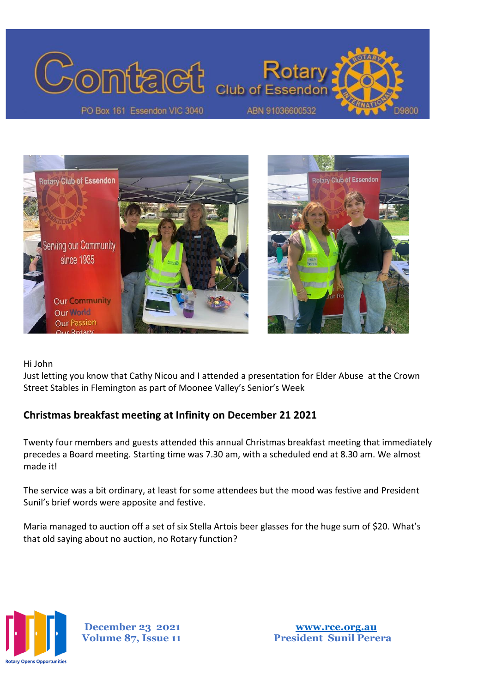



Hi John

Just letting you know that Cathy Nicou and I attended a presentation for Elder Abuse at the Crown Street Stables in Flemington as part of Moonee Valley's Senior's Week

# **Christmas breakfast meeting at Infinity on December 21 2021**

Twenty four members and guests attended this annual Christmas breakfast meeting that immediately precedes a Board meeting. Starting time was 7.30 am, with a scheduled end at 8.30 am. We almost made it!

The service was a bit ordinary, at least for some attendees but the mood was festive and President Sunil's brief words were apposite and festive.

Maria managed to auction off a set of six Stella Artois beer glasses for the huge sum of \$20. What's that old saying about no auction, no Rotary function?



**December 23 2021 [www.rce.org.au](http://www.rce.org.au/)**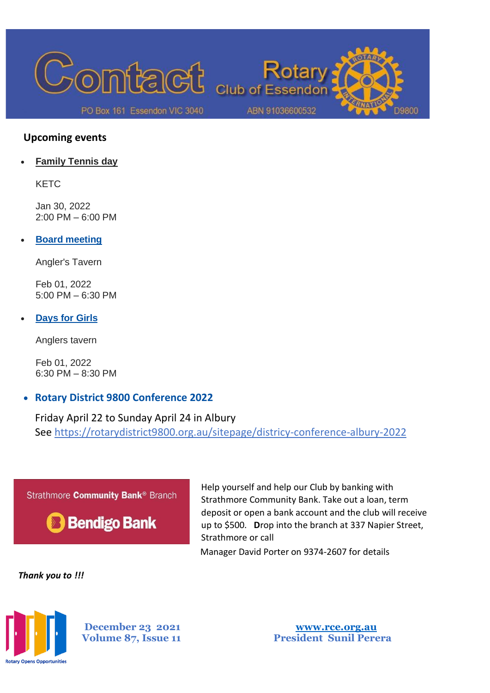

### **Upcoming events**

• **[Family Tennis day](http://portal.clubrunner.ca/6172/Event/fanily-tennis-day)**

KETC

Jan 30, 2022 2:00 PM – 6:00 PM

• **[Board meeting](http://portal.clubrunner.ca/6172/Event/board-meeting-20)**

Angler's Tavern

Feb 01, 2022 5:00 PM – 6:30 PM

• **[Days for Girls](http://portal.clubrunner.ca/6172/Event/days-for-girls)**

Anglers tavern

Feb 01, 2022 6:30 PM – 8:30 PM

# • **Rotary District 9800 Conference 2022**

Friday April 22 to Sunday April 24 in Albury See https://rotarydistrict9800.org.au/sitepage/districy-conference-albury-2022



Help yourself and help our Club by banking with Strathmore Community Bank. Take out a loan, term deposit or open a bank account and the club will receive up to \$500. **D**rop into the branch at 337 Napier Street, Strathmore or call

Manager David Porter on 9374-2607 for details

*Thank you to !!!* 



**December 23 2021 [www.rce.org.au](http://www.rce.org.au/)**